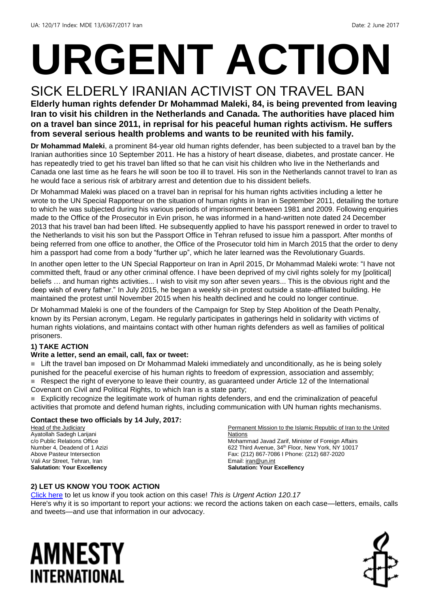# **URGENT ACTION**

### SICK ELDERLY IRANIAN ACTIVIST ON TRAVEL BAN

**Elderly human rights defender Dr Mohammad Maleki, 84, is being prevented from leaving Iran to visit his children in the Netherlands and Canada. The authorities have placed him on a travel ban since 2011, in reprisal for his peaceful human rights activism. He suffers from several serious health problems and wants to be reunited with his family.**

**Dr Mohammad Maleki**, a prominent 84-year old human rights defender, has been subjected to a travel ban by the Iranian authorities since 10 September 2011. He has a history of heart disease, diabetes, and prostate cancer. He has repeatedly tried to get his travel ban lifted so that he can visit his children who live in the Netherlands and Canada one last time as he fears he will soon be too ill to travel. His son in the Netherlands cannot travel to Iran as he would face a serious risk of arbitrary arrest and detention due to his dissident beliefs.

Dr Mohammad Maleki was placed on a travel ban in reprisal for his human rights activities including a letter he wrote to the UN Special Rapporteur on the situation of human rights in Iran in September 2011, detailing the torture to which he was subjected during his various periods of imprisonment between 1981 and 2009. Following enquiries made to the Office of the Prosecutor in Evin prison, he was informed in a hand-written note dated 24 December 2013 that his travel ban had been lifted. He subsequently applied to have his passport renewed in order to travel to the Netherlands to visit his son but the Passport Office in Tehran refused to issue him a passport. After months of being referred from one office to another, the Office of the Prosecutor told him in March 2015 that the order to deny him a passport had come from a body "further up", which he later learned was the Revolutionary Guards.

In another open letter to the UN Special Rapporteur on Iran in April 2015, Dr Mohammad Maleki wrote: "I have not committed theft, fraud or any other criminal offence. I have been deprived of my civil rights solely for my [political] beliefs … and human rights activities... I wish to visit my son after seven years... This is the obvious right and the deep wish of every father." In July 2015, he began a weekly sit-in protest outside a state-affiliated building. He maintained the protest until November 2015 when his health declined and he could no longer continue.

Dr Mohammad Maleki is one of the founders of the Campaign for Step by Step Abolition of the Death Penalty, known by its Persian acronym, Legam. He regularly participates in gatherings held in solidarity with victims of human rights violations, and maintains contact with other human rights defenders as well as families of political prisoners.

#### **1) TAKE ACTION**

#### **Write a letter, send an email, call, fax or tweet:**

■ Lift the travel ban imposed on Dr Mohammad Maleki immediately and unconditionally, as he is being solely punished for the peaceful exercise of his human rights to freedom of expression, association and assembly; Respect the right of everyone to leave their country, as guaranteed under Article 12 of the International Covenant on Civil and Political Rights, to which Iran is a state party;

 Explicitly recognize the legitimate work of human rights defenders, and end the criminalization of peaceful activities that promote and defend human rights, including communication with UN human rights mechanisms.

#### **Contact these two officials by 14 July, 2017:**

Head of the Judiciary Ayatollah Sadegh Larijani c/o Public Relations Office Number 4, Deadend of 1 Azizi Above Pasteur Intersection Vali Asr Street, Tehran, Iran **Salutation: Your Excellency**

Permanent Mission to the Islamic Republic of Iran to the United Nations Mohammad Javad Zarif, Minister of Foreign Affairs 622 Third Avenue, 34<sup>th</sup> Floor, New York, NY 10017 Fax: (212) 867-7086 I Phone: (212) 687-2020 Email: *iran@un.int* **Salutation: Your Excellency**

#### **2) LET US KNOW YOU TOOK ACTION**

[Click here](https://docs.google.com/forms/d/e/1FAIpQLSf3RUspces4lA9Gt7Fp9GiAcojCs6fnfFOTCLli3Su6c3S8ew/viewform) to let us know if you took action on this case! *This is Urgent Action 120.17* Here's why it is so important to report your actions: we record the actions taken on each case—letters, emails, calls and tweets—and use that information in our advocacy.